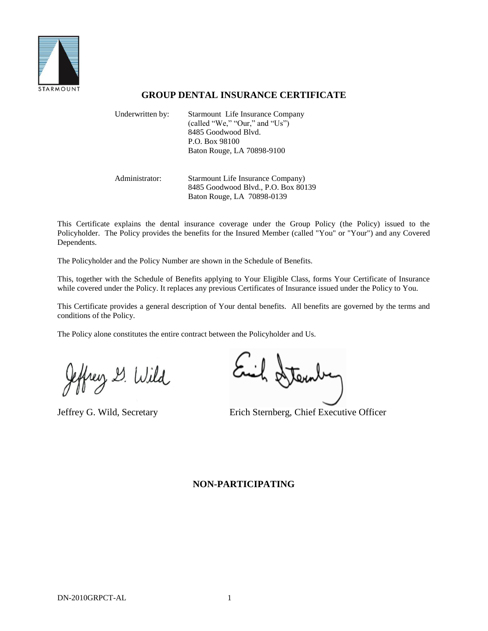

# **GROUP DENTAL INSURANCE CERTIFICATE**

| Underwritten by: | Starmount Life Insurance Company<br>(called "We," "Our," and "Us")<br>8485 Goodwood Blyd.<br>P.O. Box 98100<br>Baton Rouge, LA 70898-9100 |
|------------------|-------------------------------------------------------------------------------------------------------------------------------------------|
| Administrator:   | Starmount Life Insurance Company)<br>8485 Goodwood Blvd., P.O. Box 80139<br>Baton Rouge, LA 70898-0139                                    |

This Certificate explains the dental insurance coverage under the Group Policy (the Policy) issued to the Policyholder. The Policy provides the benefits for the Insured Member (called "You" or "Your") and any Covered Dependents.

The Policyholder and the Policy Number are shown in the Schedule of Benefits.

This, together with the Schedule of Benefits applying to Your Eligible Class, forms Your Certificate of Insurance while covered under the Policy. It replaces any previous Certificates of Insurance issued under the Policy to You.

This Certificate provides a general description of Your dental benefits. All benefits are governed by the terms and conditions of the Policy.

The Policy alone constitutes the entire contract between the Policyholder and Us.

frey & Wild

Atem

Jeffrey G. Wild, Secretary Erich Sternberg, Chief Executive Officer

# **NON-PARTICIPATING**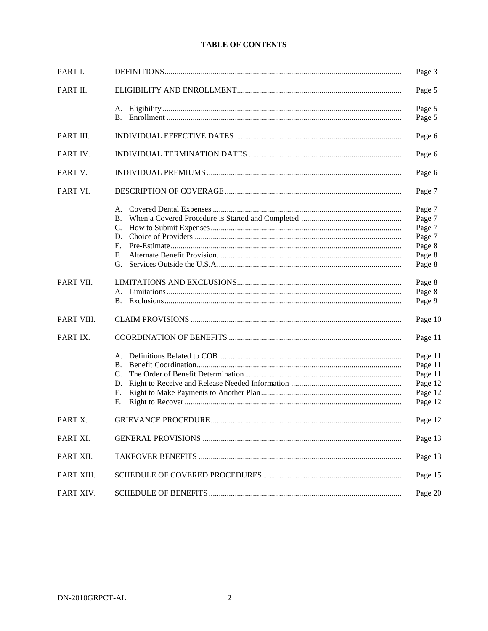# **TABLE OF CONTENTS**

| PART I.    |    | Page 3  |
|------------|----|---------|
| PART II.   |    | Page 5  |
|            |    | Page 5  |
|            |    | Page 5  |
| PART III.  |    | Page 6  |
| PART IV.   |    | Page 6  |
| PART V.    |    | Page 6  |
| PART VI.   |    | Page 7  |
|            |    | Page 7  |
|            | В. | Page 7  |
|            | C. | Page 7  |
|            | D. | Page 7  |
|            | Е. | Page 8  |
|            | F. | Page 8  |
|            | G. | Page 8  |
| PART VII.  |    | Page 8  |
|            |    | Page 8  |
|            |    | Page 9  |
| PART VIII. |    | Page 10 |
| PART IX.   |    | Page 11 |
|            |    | Page 11 |
|            | В. | Page 11 |
|            | C. | Page 11 |
|            | D. | Page 12 |
|            | Е. | Page 12 |
|            | F. | Page 12 |
| PART X.    |    | Page 12 |
| PART XI.   |    | Page 13 |
| PART XII.  |    | Page 13 |
| PART XIII. |    | Page 15 |
| PART XIV.  |    | Page 20 |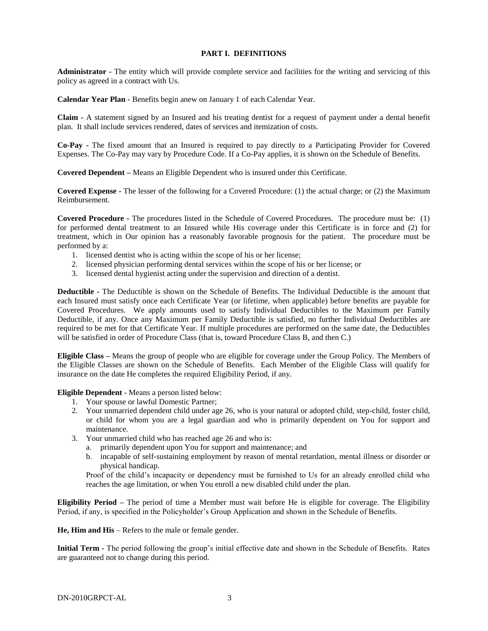#### **PART I. DEFINITIONS**

**Administrator -** The entity which will provide complete service and facilities for the writing and servicing of this policy as agreed in a contract with Us.

**Calendar Year Plan -** Benefits begin anew on January 1 of each Calendar Year.

**Claim -** A statement signed by an Insured and his treating dentist for a request of payment under a dental benefit plan. It shall include services rendered, dates of services and itemization of costs.

**Co-Pay -** The fixed amount that an Insured is required to pay directly to a Participating Provider for Covered Expenses. The Co-Pay may vary by Procedure Code. If a Co-Pay applies, it is shown on the Schedule of Benefits.

**Covered Dependent –** Means an Eligible Dependent who is insured under this Certificate.

**Covered Expense -** The lesser of the following for a Covered Procedure: (1) the actual charge; or (2) the Maximum Reimbursement.

**Covered Procedure -** The procedures listed in the Schedule of Covered Procedures. The procedure must be: (1) for performed dental treatment to an Insured while His coverage under this Certificate is in force and (2) for treatment, which in Our opinion has a reasonably favorable prognosis for the patient. The procedure must be performed by a:

- 1. licensed dentist who is acting within the scope of his or her license;
- 2. licensed physician performing dental services within the scope of his or her license; or
- 3. licensed dental hygienist acting under the supervision and direction of a dentist.

**Deductible -** The Deductible is shown on the Schedule of Benefits. The Individual Deductible is the amount that each Insured must satisfy once each Certificate Year (or lifetime, when applicable) before benefits are payable for Covered Procedures. We apply amounts used to satisfy Individual Deductibles to the Maximum per Family Deductible, if any. Once any Maximum per Family Deductible is satisfied, no further Individual Deductibles are required to be met for that Certificate Year. If multiple procedures are performed on the same date, the Deductibles will be satisfied in order of Procedure Class (that is, toward Procedure Class B, and then C.)

**Eligible Class –** Means the group of people who are eligible for coverage under the Group Policy. The Members of the Eligible Classes are shown on the Schedule of Benefits. Each Member of the Eligible Class will qualify for insurance on the date He completes the required Eligibility Period, if any.

**Eligible Dependent** - Means a person listed below:

- 1. Your spouse or lawful Domestic Partner;
- 2. Your unmarried dependent child under age 26, who is your natural or adopted child, step-child, foster child, or child for whom you are a legal guardian and who is primarily dependent on You for support and maintenance.
- 3. Your unmarried child who has reached age 26 and who is:
	- a. primarily dependent upon You for support and maintenance; and
	- b. incapable of self-sustaining employment by reason of mental retardation, mental illness or disorder or physical handicap.

Proof of the child's incapacity or dependency must be furnished to Us for an already enrolled child who reaches the age limitation, or when You enroll a new disabled child under the plan.

**Eligibility Period –** The period of time a Member must wait before He is eligible for coverage. The Eligibility Period, if any, is specified in the Policyholder's Group Application and shown in the Schedule of Benefits.

**He, Him and His** – Refers to the male or female gender.

**Initial Term -** The period following the group's initial effective date and shown in the Schedule of Benefits. Rates are guaranteed not to change during this period.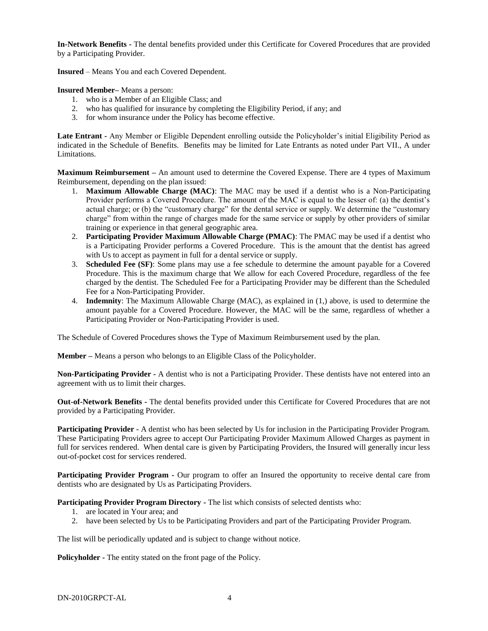**In-Network Benefits -** The dental benefits provided under this Certificate for Covered Procedures that are provided by a Participating Provider.

**Insured** – Means You and each Covered Dependent.

**Insured Member–** Means a person:

- 1. who is a Member of an Eligible Class; and
- 2. who has qualified for insurance by completing the Eligibility Period, if any; and
- 3. for whom insurance under the Policy has become effective.

**Late Entrant -** Any Member or Eligible Dependent enrolling outside the Policyholder's initial Eligibility Period as indicated in the Schedule of Benefits. Benefits may be limited for Late Entrants as noted under Part VII., A under Limitations.

**Maximum Reimbursement –** An amount used to determine the Covered Expense. There are 4 types of Maximum Reimbursement, depending on the plan issued:

- 1. **Maximum Allowable Charge (MAC)**: The MAC may be used if a dentist who is a Non-Participating Provider performs a Covered Procedure. The amount of the MAC is equal to the lesser of: (a) the dentist's actual charge; or (b) the "customary charge" for the dental service or supply. We determine the "customary charge" from within the range of charges made for the same service or supply by other providers of similar training or experience in that general geographic area.
- 2. **Participating Provider Maximum Allowable Charge (PMAC)**: The PMAC may be used if a dentist who is a Participating Provider performs a Covered Procedure. This is the amount that the dentist has agreed with Us to accept as payment in full for a dental service or supply.
- 3. **Scheduled Fee (SF)**: Some plans may use a fee schedule to determine the amount payable for a Covered Procedure. This is the maximum charge that We allow for each Covered Procedure, regardless of the fee charged by the dentist. The Scheduled Fee for a Participating Provider may be different than the Scheduled Fee for a Non-Participating Provider.
- 4. **Indemnity**: The Maximum Allowable Charge (MAC), as explained in (1,) above, is used to determine the amount payable for a Covered Procedure. However, the MAC will be the same, regardless of whether a Participating Provider or Non-Participating Provider is used.

The Schedule of Covered Procedures shows the Type of Maximum Reimbursement used by the plan.

**Member –** Means a person who belongs to an Eligible Class of the Policyholder.

**Non-Participating Provider -** A dentist who is not a Participating Provider. These dentists have not entered into an agreement with us to limit their charges.

**Out-of-Network Benefits -** The dental benefits provided under this Certificate for Covered Procedures that are not provided by a Participating Provider.

**Participating Provider -** A dentist who has been selected by Us for inclusion in the Participating Provider Program. These Participating Providers agree to accept Our Participating Provider Maximum Allowed Charges as payment in full for services rendered. When dental care is given by Participating Providers, the Insured will generally incur less out-of-pocket cost for services rendered.

**Participating Provider Program -** Our program to offer an Insured the opportunity to receive dental care from dentists who are designated by Us as Participating Providers.

**Participating Provider Program Directory -** The list which consists of selected dentists who:

- 1. are located in Your area; and
- 2. have been selected by Us to be Participating Providers and part of the Participating Provider Program.

The list will be periodically updated and is subject to change without notice.

**Policyholder -** The entity stated on the front page of the Policy.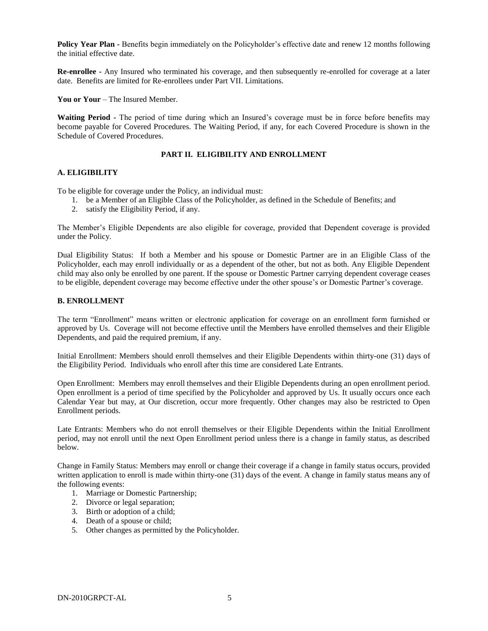**Policy Year Plan -** Benefits begin immediately on the Policyholder's effective date and renew 12 months following the initial effective date.

**Re-enrollee -** Any Insured who terminated his coverage, and then subsequently re-enrolled for coverage at a later date. Benefits are limited for Re-enrollees under Part VII. Limitations.

**You or Your** – The Insured Member.

**Waiting Period -** The period of time during which an Insured's coverage must be in force before benefits may become payable for Covered Procedures. The Waiting Period, if any, for each Covered Procedure is shown in the Schedule of Covered Procedures.

### **PART II. ELIGIBILITY AND ENROLLMENT**

#### **A. ELIGIBILITY**

To be eligible for coverage under the Policy, an individual must:

- 1. be a Member of an Eligible Class of the Policyholder, as defined in the Schedule of Benefits; and
- 2. satisfy the Eligibility Period, if any.

The Member's Eligible Dependents are also eligible for coverage, provided that Dependent coverage is provided under the Policy.

Dual Eligibility Status: If both a Member and his spouse or Domestic Partner are in an Eligible Class of the Policyholder, each may enroll individually or as a dependent of the other, but not as both. Any Eligible Dependent child may also only be enrolled by one parent. If the spouse or Domestic Partner carrying dependent coverage ceases to be eligible, dependent coverage may become effective under the other spouse's or Domestic Partner's coverage.

#### **B. ENROLLMENT**

The term "Enrollment" means written or electronic application for coverage on an enrollment form furnished or approved by Us. Coverage will not become effective until the Members have enrolled themselves and their Eligible Dependents, and paid the required premium, if any.

Initial Enrollment: Members should enroll themselves and their Eligible Dependents within thirty-one (31) days of the Eligibility Period. Individuals who enroll after this time are considered Late Entrants.

Open Enrollment: Members may enroll themselves and their Eligible Dependents during an open enrollment period. Open enrollment is a period of time specified by the Policyholder and approved by Us. It usually occurs once each Calendar Year but may, at Our discretion, occur more frequently. Other changes may also be restricted to Open Enrollment periods.

Late Entrants: Members who do not enroll themselves or their Eligible Dependents within the Initial Enrollment period, may not enroll until the next Open Enrollment period unless there is a change in family status, as described below.

Change in Family Status: Members may enroll or change their coverage if a change in family status occurs, provided written application to enroll is made within thirty-one (31) days of the event. A change in family status means any of the following events:

- 1. Marriage or Domestic Partnership;
- 2. Divorce or legal separation;
- 3. Birth or adoption of a child;
- 4. Death of a spouse or child;
- 5. Other changes as permitted by the Policyholder.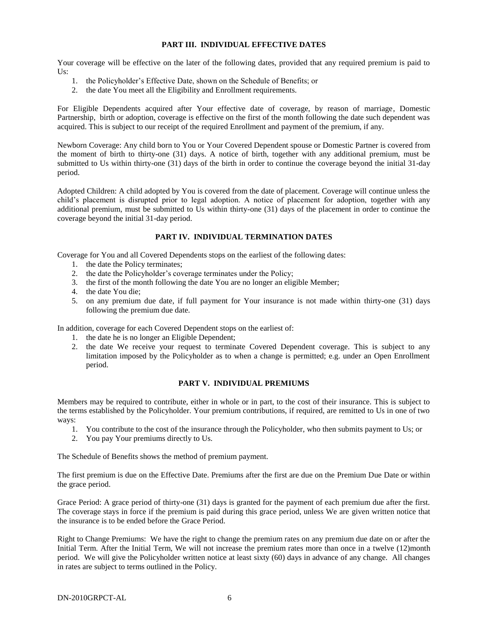#### **PART III. INDIVIDUAL EFFECTIVE DATES**

Your coverage will be effective on the later of the following dates, provided that any required premium is paid to  $Us:$ 

- 1. the Policyholder's Effective Date, shown on the Schedule of Benefits; or
- 2. the date You meet all the Eligibility and Enrollment requirements.

For Eligible Dependents acquired after Your effective date of coverage, by reason of marriage, Domestic Partnership, birth or adoption, coverage is effective on the first of the month following the date such dependent was acquired. This is subject to our receipt of the required Enrollment and payment of the premium, if any.

Newborn Coverage: Any child born to You or Your Covered Dependent spouse or Domestic Partner is covered from the moment of birth to thirty-one (31) days. A notice of birth, together with any additional premium, must be submitted to Us within thirty-one (31) days of the birth in order to continue the coverage beyond the initial 31-day period.

Adopted Children: A child adopted by You is covered from the date of placement. Coverage will continue unless the child's placement is disrupted prior to legal adoption. A notice of placement for adoption, together with any additional premium, must be submitted to Us within thirty-one (31) days of the placement in order to continue the coverage beyond the initial 31-day period.

# **PART IV. INDIVIDUAL TERMINATION DATES**

Coverage for You and all Covered Dependents stops on the earliest of the following dates:

- 1. the date the Policy terminates;
- 2. the date the Policyholder's coverage terminates under the Policy;
- 3. the first of the month following the date You are no longer an eligible Member;
- 4. the date You die;
- 5. on any premium due date, if full payment for Your insurance is not made within thirty-one (31) days following the premium due date.

In addition, coverage for each Covered Dependent stops on the earliest of:

- 1. the date he is no longer an Eligible Dependent;
- 2. the date We receive your request to terminate Covered Dependent coverage. This is subject to any limitation imposed by the Policyholder as to when a change is permitted; e.g. under an Open Enrollment period.

#### **PART V. INDIVIDUAL PREMIUMS**

Members may be required to contribute, either in whole or in part, to the cost of their insurance. This is subject to the terms established by the Policyholder. Your premium contributions, if required, are remitted to Us in one of two ways:

- 1. You contribute to the cost of the insurance through the Policyholder, who then submits payment to Us; or
- 2. You pay Your premiums directly to Us.

The Schedule of Benefits shows the method of premium payment.

The first premium is due on the Effective Date. Premiums after the first are due on the Premium Due Date or within the grace period.

Grace Period: A grace period of thirty-one (31) days is granted for the payment of each premium due after the first. The coverage stays in force if the premium is paid during this grace period, unless We are given written notice that the insurance is to be ended before the Grace Period.

Right to Change Premiums: We have the right to change the premium rates on any premium due date on or after the Initial Term. After the Initial Term, We will not increase the premium rates more than once in a twelve (12)month period. We will give the Policyholder written notice at least sixty (60) days in advance of any change. All changes in rates are subject to terms outlined in the Policy.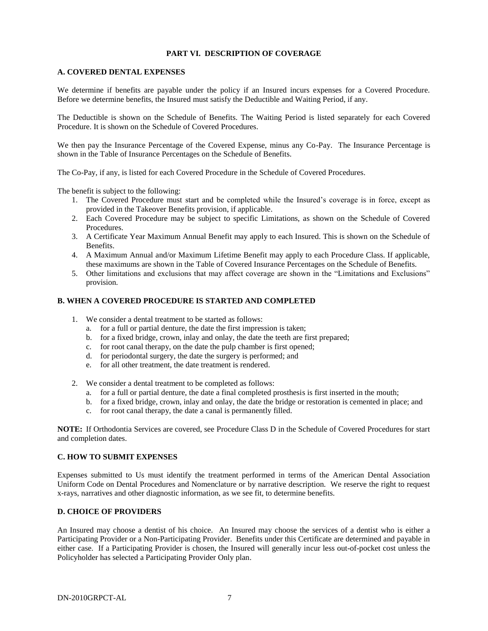### **PART VI. DESCRIPTION OF COVERAGE**

#### **A. COVERED DENTAL EXPENSES**

We determine if benefits are payable under the policy if an Insured incurs expenses for a Covered Procedure. Before we determine benefits, the Insured must satisfy the Deductible and Waiting Period, if any.

The Deductible is shown on the Schedule of Benefits. The Waiting Period is listed separately for each Covered Procedure. It is shown on the Schedule of Covered Procedures.

We then pay the Insurance Percentage of the Covered Expense, minus any Co-Pay. The Insurance Percentage is shown in the Table of Insurance Percentages on the Schedule of Benefits.

The Co-Pay, if any, is listed for each Covered Procedure in the Schedule of Covered Procedures.

The benefit is subject to the following:

- 1. The Covered Procedure must start and be completed while the Insured's coverage is in force, except as provided in the Takeover Benefits provision, if applicable.
- 2. Each Covered Procedure may be subject to specific Limitations, as shown on the Schedule of Covered Procedures.
- 3. A Certificate Year Maximum Annual Benefit may apply to each Insured. This is shown on the Schedule of Benefits.
- 4. A Maximum Annual and/or Maximum Lifetime Benefit may apply to each Procedure Class. If applicable, these maximums are shown in the Table of Covered Insurance Percentages on the Schedule of Benefits.
- 5. Other limitations and exclusions that may affect coverage are shown in the "Limitations and Exclusions" provision.

#### **B. WHEN A COVERED PROCEDURE IS STARTED AND COMPLETED**

- 1. We consider a dental treatment to be started as follows:
	- a. for a full or partial denture, the date the first impression is taken;
	- b. for a fixed bridge, crown, inlay and onlay, the date the teeth are first prepared;
	- c. for root canal therapy, on the date the pulp chamber is first opened;
	- d. for periodontal surgery, the date the surgery is performed; and
	- e. for all other treatment, the date treatment is rendered.
- 2. We consider a dental treatment to be completed as follows:
	- a. for a full or partial denture, the date a final completed prosthesis is first inserted in the mouth;
	- b. for a fixed bridge, crown, inlay and onlay, the date the bridge or restoration is cemented in place; and
	- c. for root canal therapy, the date a canal is permanently filled.

**NOTE:** If Orthodontia Services are covered, see Procedure Class D in the Schedule of Covered Procedures for start and completion dates.

#### **C. HOW TO SUBMIT EXPENSES**

Expenses submitted to Us must identify the treatment performed in terms of the American Dental Association Uniform Code on Dental Procedures and Nomenclature or by narrative description. We reserve the right to request x-rays, narratives and other diagnostic information, as we see fit, to determine benefits.

#### **D. CHOICE OF PROVIDERS**

An Insured may choose a dentist of his choice. An Insured may choose the services of a dentist who is either a Participating Provider or a Non-Participating Provider. Benefits under this Certificate are determined and payable in either case. If a Participating Provider is chosen, the Insured will generally incur less out-of-pocket cost unless the Policyholder has selected a Participating Provider Only plan.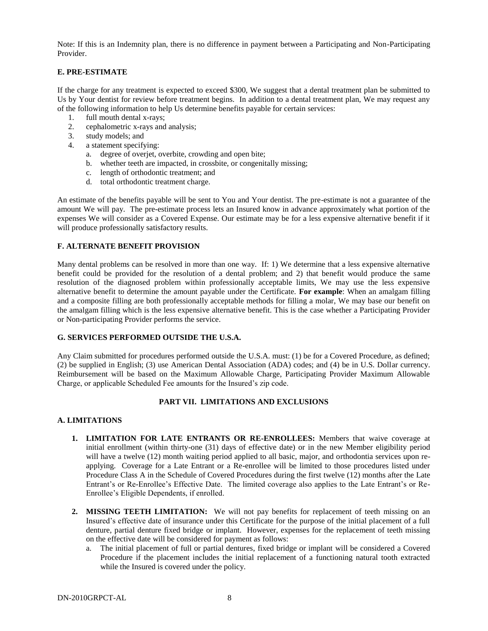Note: If this is an Indemnity plan, there is no difference in payment between a Participating and Non-Participating Provider.

### **E. PRE-ESTIMATE**

If the charge for any treatment is expected to exceed \$300, We suggest that a dental treatment plan be submitted to Us by Your dentist for review before treatment begins. In addition to a dental treatment plan, We may request any of the following information to help Us determine benefits payable for certain services:

- 1. full mouth dental x-rays;
- 2. cephalometric x-rays and analysis;
- 3. study models; and
- 4. a statement specifying:
	- a. degree of overjet, overbite, crowding and open bite;
	- b. whether teeth are impacted, in crossbite, or congenitally missing;
	- c. length of orthodontic treatment; and
	- d. total orthodontic treatment charge.

An estimate of the benefits payable will be sent to You and Your dentist. The pre-estimate is not a guarantee of the amount We will pay. The pre-estimate process lets an Insured know in advance approximately what portion of the expenses We will consider as a Covered Expense. Our estimate may be for a less expensive alternative benefit if it will produce professionally satisfactory results.

#### **F. ALTERNATE BENEFIT PROVISION**

Many dental problems can be resolved in more than one way. If: 1) We determine that a less expensive alternative benefit could be provided for the resolution of a dental problem; and 2) that benefit would produce the same resolution of the diagnosed problem within professionally acceptable limits, We may use the less expensive alternative benefit to determine the amount payable under the Certificate. **For example**: When an amalgam filling and a composite filling are both professionally acceptable methods for filling a molar, We may base our benefit on the amalgam filling which is the less expensive alternative benefit. This is the case whether a Participating Provider or Non-participating Provider performs the service.

#### **G. SERVICES PERFORMED OUTSIDE THE U.S.A.**

Any Claim submitted for procedures performed outside the U.S.A. must: (1) be for a Covered Procedure, as defined; (2) be supplied in English; (3) use American Dental Association (ADA) codes; and (4) be in U.S. Dollar currency. Reimbursement will be based on the Maximum Allowable Charge, Participating Provider Maximum Allowable Charge, or applicable Scheduled Fee amounts for the Insured's zip code.

#### **PART VII. LIMITATIONS AND EXCLUSIONS**

#### **A. LIMITATIONS**

- **1. LIMITATION FOR LATE ENTRANTS OR RE-ENROLLEES:** Members that waive coverage at initial enrollment (within thirty-one (31) days of effective date) or in the new Member eligibility period will have a twelve (12) month waiting period applied to all basic, major, and orthodontia services upon reapplying. Coverage for a Late Entrant or a Re-enrollee will be limited to those procedures listed under Procedure Class A in the Schedule of Covered Procedures during the first twelve (12) months after the Late Entrant's or Re-Enrollee's Effective Date. The limited coverage also applies to the Late Entrant's or Re-Enrollee's Eligible Dependents, if enrolled.
- **2. MISSING TEETH LIMITATION:** We will not pay benefits for replacement of teeth missing on an Insured's effective date of insurance under this Certificate for the purpose of the initial placement of a full denture, partial denture fixed bridge or implant. However, expenses for the replacement of teeth missing on the effective date will be considered for payment as follows:
	- a. The initial placement of full or partial dentures, fixed bridge or implant will be considered a Covered Procedure if the placement includes the initial replacement of a functioning natural tooth extracted while the Insured is covered under the policy.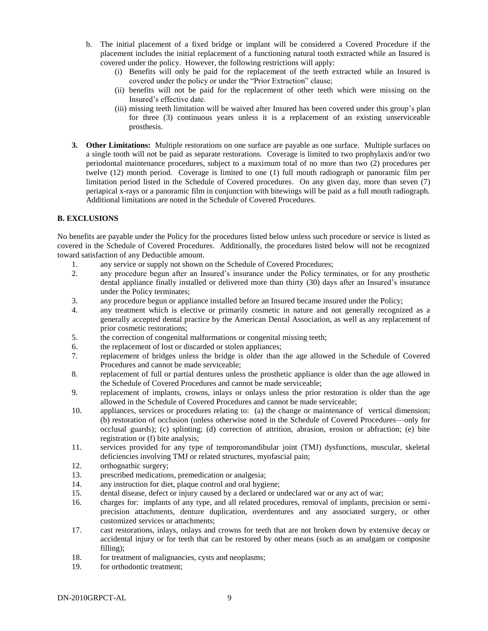- b. The initial placement of a fixed bridge or implant will be considered a Covered Procedure if the placement includes the initial replacement of a functioning natural tooth extracted while an Insured is covered under the policy. However, the following restrictions will apply:
	- (i) Benefits will only be paid for the replacement of the teeth extracted while an Insured is covered under the policy or under the "Prior Extraction" clause;
	- (ii) benefits will not be paid for the replacement of other teeth which were missing on the Insured's effective date.
	- (iii) missing teeth limitation will be waived after Insured has been covered under this group's plan for three (3) continuous years unless it is a replacement of an existing unserviceable prosthesis.
- **3. Other Limitations:** Multiple restorations on one surface are payable as one surface. Multiple surfaces on a single tooth will not be paid as separate restorations. Coverage is limited to two prophylaxis and/or two periodontal maintenance procedures, subject to a maximum total of no more than two (2) procedures per twelve (12) month period. Coverage is limited to one (1) full mouth radiograph or panoramic film per limitation period listed in the Schedule of Covered procedures. On any given day, more than seven (7) periapical x-rays or a panoramic film in conjunction with bitewings will be paid as a full mouth radiograph. Additional limitations are noted in the Schedule of Covered Procedures.

#### **B. EXCLUSIONS**

No benefits are payable under the Policy for the procedures listed below unless such procedure or service is listed as covered in the Schedule of Covered Procedures. Additionally, the procedures listed below will not be recognized toward satisfaction of any Deductible amount.

- 1. any service or supply not shown on the Schedule of Covered Procedures;
- 2. any procedure begun after an Insured's insurance under the Policy terminates, or for any prosthetic dental appliance finally installed or delivered more than thirty (30) days after an Insured's insurance under the Policy terminates;
- 3. any procedure begun or appliance installed before an Insured became insured under the Policy;
- 4. any treatment which is elective or primarily cosmetic in nature and not generally recognized as a generally accepted dental practice by the American Dental Association, as well as any replacement of prior cosmetic restorations;
- 5. the correction of congenital malformations or congenital missing teeth;
- 6. the replacement of lost or discarded or stolen appliances;
- 7. replacement of bridges unless the bridge is older than the age allowed in the Schedule of Covered Procedures and cannot be made serviceable;
- 8. replacement of full or partial dentures unless the prosthetic appliance is older than the age allowed in the Schedule of Covered Procedures and cannot be made serviceable;
- 9. replacement of implants, crowns, inlays or onlays unless the prior restoration is older than the age allowed in the Schedule of Covered Procedures and cannot be made serviceable;
- 10. appliances, services or procedures relating to: (a) the change or maintenance of vertical dimension; (b) restoration of occlusion (unless otherwise noted in the Schedule of Covered Procedures—only for occlusal guards); (c) splinting; (d) correction of attrition, abrasion, erosion or abfraction; (e) bite registration or (f) bite analysis;
- 11. services provided for any type of temporomandibular joint (TMJ) dysfunctions, muscular, skeletal deficiencies involving TMJ or related structures, myofascial pain;
- 12. orthognathic surgery;
- 13. prescribed medications, premedication or analgesia;
- 14. any instruction for diet, plaque control and oral hygiene;
- 15. dental disease, defect or injury caused by a declared or undeclared war or any act of war;
- 16. charges for: implants of any type, and all related procedures, removal of implants, precision or semiprecision attachments, denture duplication, overdentures and any associated surgery, or other customized services or attachments;
- 17. cast restorations, inlays, onlays and crowns for teeth that are not broken down by extensive decay or accidental injury or for teeth that can be restored by other means (such as an amalgam or composite filling);
- 18. for treatment of malignancies, cysts and neoplasms;
- 19. for orthodontic treatment;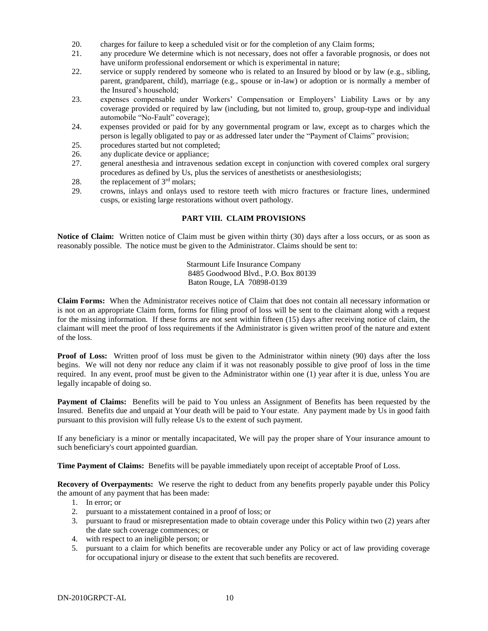- 20. charges for failure to keep a scheduled visit or for the completion of any Claim forms;
- 21. any procedure We determine which is not necessary, does not offer a favorable prognosis, or does not have uniform professional endorsement or which is experimental in nature;
- 22. service or supply rendered by someone who is related to an Insured by blood or by law (e.g., sibling, parent, grandparent, child), marriage (e.g., spouse or in-law) or adoption or is normally a member of the Insured's household;
- 23. expenses compensable under Workers' Compensation or Employers' Liability Laws or by any coverage provided or required by law (including, but not limited to, group, group-type and individual automobile "No-Fault" coverage);
- 24. expenses provided or paid for by any governmental program or law, except as to charges which the person is legally obligated to pay or as addressed later under the "Payment of Claims" provision;
- 25. procedures started but not completed;
- 26. any duplicate device or appliance;
- 27. general anesthesia and intravenous sedation except in conjunction with covered complex oral surgery procedures as defined by Us, plus the services of anesthetists or anesthesiologists;
- 28. the replacement of  $3<sup>rd</sup>$  molars;
- 29. crowns, inlays and onlays used to restore teeth with micro fractures or fracture lines, undermined cusps, or existing large restorations without overt pathology.

#### **PART VIII. CLAIM PROVISIONS**

**Notice of Claim:** Written notice of Claim must be given within thirty (30) days after a loss occurs, or as soon as reasonably possible. The notice must be given to the Administrator. Claims should be sent to:

> Starmount Life Insurance Company 8485 Goodwood Blvd., P.O. Box 80139 Baton Rouge, LA 70898-0139

**Claim Forms:** When the Administrator receives notice of Claim that does not contain all necessary information or is not on an appropriate Claim form, forms for filing proof of loss will be sent to the claimant along with a request for the missing information. If these forms are not sent within fifteen (15) days after receiving notice of claim, the claimant will meet the proof of loss requirements if the Administrator is given written proof of the nature and extent of the loss.

**Proof of Loss:** Written proof of loss must be given to the Administrator within ninety (90) days after the loss begins. We will not deny nor reduce any claim if it was not reasonably possible to give proof of loss in the time required. In any event, proof must be given to the Administrator within one (1) year after it is due, unless You are legally incapable of doing so.

**Payment of Claims:** Benefits will be paid to You unless an Assignment of Benefits has been requested by the Insured. Benefits due and unpaid at Your death will be paid to Your estate. Any payment made by Us in good faith pursuant to this provision will fully release Us to the extent of such payment.

If any beneficiary is a minor or mentally incapacitated, We will pay the proper share of Your insurance amount to such beneficiary's court appointed guardian.

**Time Payment of Claims:** Benefits will be payable immediately upon receipt of acceptable Proof of Loss.

**Recovery of Overpayments:** We reserve the right to deduct from any benefits properly payable under this Policy the amount of any payment that has been made:

- 1. In error; or
- 2. pursuant to a misstatement contained in a proof of loss; or
- 3. pursuant to fraud or misrepresentation made to obtain coverage under this Policy within two (2) years after the date such coverage commences; or
- 4. with respect to an ineligible person; or
- 5. pursuant to a claim for which benefits are recoverable under any Policy or act of law providing coverage for occupational injury or disease to the extent that such benefits are recovered.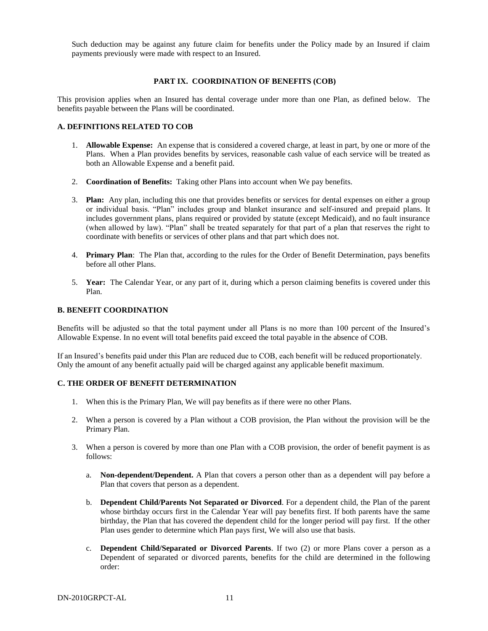Such deduction may be against any future claim for benefits under the Policy made by an Insured if claim payments previously were made with respect to an Insured.

#### **PART IX. COORDINATION OF BENEFITS (COB)**

This provision applies when an Insured has dental coverage under more than one Plan, as defined below. The benefits payable between the Plans will be coordinated.

#### **A. DEFINITIONS RELATED TO COB**

- 1. **Allowable Expense:** An expense that is considered a covered charge, at least in part, by one or more of the Plans. When a Plan provides benefits by services, reasonable cash value of each service will be treated as both an Allowable Expense and a benefit paid.
- 2. **Coordination of Benefits:** Taking other Plans into account when We pay benefits.
- 3. **Plan:** Any plan, including this one that provides benefits or services for dental expenses on either a group or individual basis. "Plan" includes group and blanket insurance and self-insured and prepaid plans. It includes government plans, plans required or provided by statute (except Medicaid), and no fault insurance (when allowed by law). "Plan" shall be treated separately for that part of a plan that reserves the right to coordinate with benefits or services of other plans and that part which does not.
- 4. **Primary Plan**: The Plan that, according to the rules for the Order of Benefit Determination, pays benefits before all other Plans.
- 5. **Year:** The Calendar Year, or any part of it, during which a person claiming benefits is covered under this Plan.

#### **B. BENEFIT COORDINATION**

Benefits will be adjusted so that the total payment under all Plans is no more than 100 percent of the Insured's Allowable Expense. In no event will total benefits paid exceed the total payable in the absence of COB.

If an Insured's benefits paid under this Plan are reduced due to COB, each benefit will be reduced proportionately. Only the amount of any benefit actually paid will be charged against any applicable benefit maximum.

#### **C. THE ORDER OF BENEFIT DETERMINATION**

- 1. When this is the Primary Plan, We will pay benefits as if there were no other Plans.
- 2. When a person is covered by a Plan without a COB provision, the Plan without the provision will be the Primary Plan.
- 3. When a person is covered by more than one Plan with a COB provision, the order of benefit payment is as follows:
	- a. **Non-dependent/Dependent.** A Plan that covers a person other than as a dependent will pay before a Plan that covers that person as a dependent.
	- b. **Dependent Child/Parents Not Separated or Divorced**. For a dependent child, the Plan of the parent whose birthday occurs first in the Calendar Year will pay benefits first. If both parents have the same birthday, the Plan that has covered the dependent child for the longer period will pay first. If the other Plan uses gender to determine which Plan pays first, We will also use that basis.
	- c. **Dependent Child/Separated or Divorced Parents**. If two (2) or more Plans cover a person as a Dependent of separated or divorced parents, benefits for the child are determined in the following order: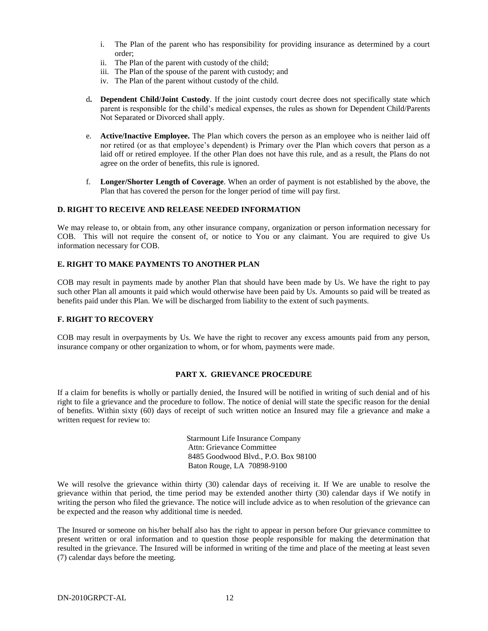- i. The Plan of the parent who has responsibility for providing insurance as determined by a court order;
- ii. The Plan of the parent with custody of the child;
- iii. The Plan of the spouse of the parent with custody; and
- iv. The Plan of the parent without custody of the child.
- d**. Dependent Child/Joint Custody**. If the joint custody court decree does not specifically state which parent is responsible for the child's medical expenses, the rules as shown for Dependent Child/Parents Not Separated or Divorced shall apply.
- e. **Active/Inactive Employee.** The Plan which covers the person as an employee who is neither laid off nor retired (or as that employee's dependent) is Primary over the Plan which covers that person as a laid off or retired employee. If the other Plan does not have this rule, and as a result, the Plans do not agree on the order of benefits, this rule is ignored.
- f. **Longer/Shorter Length of Coverage**. When an order of payment is not established by the above, the Plan that has covered the person for the longer period of time will pay first.

#### **D. RIGHT TO RECEIVE AND RELEASE NEEDED INFORMATION**

We may release to, or obtain from, any other insurance company, organization or person information necessary for COB. This will not require the consent of, or notice to You or any claimant. You are required to give Us information necessary for COB.

#### **E. RIGHT TO MAKE PAYMENTS TO ANOTHER PLAN**

COB may result in payments made by another Plan that should have been made by Us. We have the right to pay such other Plan all amounts it paid which would otherwise have been paid by Us. Amounts so paid will be treated as benefits paid under this Plan. We will be discharged from liability to the extent of such payments.

#### **F. RIGHT TO RECOVERY**

COB may result in overpayments by Us. We have the right to recover any excess amounts paid from any person, insurance company or other organization to whom, or for whom, payments were made.

#### **PART X. GRIEVANCE PROCEDURE**

If a claim for benefits is wholly or partially denied, the Insured will be notified in writing of such denial and of his right to file a grievance and the procedure to follow. The notice of denial will state the specific reason for the denial of benefits. Within sixty (60) days of receipt of such written notice an Insured may file a grievance and make a written request for review to:

> Starmount Life Insurance Company Attn: Grievance Committee 8485 Goodwood Blvd., P.O. Box 98100 Baton Rouge, LA 70898-9100

We will resolve the grievance within thirty (30) calendar days of receiving it. If We are unable to resolve the grievance within that period, the time period may be extended another thirty (30) calendar days if We notify in writing the person who filed the grievance. The notice will include advice as to when resolution of the grievance can be expected and the reason why additional time is needed.

The Insured or someone on his/her behalf also has the right to appear in person before Our grievance committee to present written or oral information and to question those people responsible for making the determination that resulted in the grievance. The Insured will be informed in writing of the time and place of the meeting at least seven (7) calendar days before the meeting.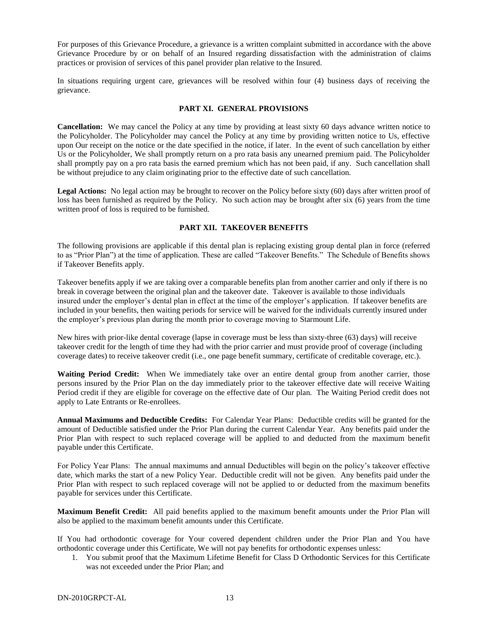For purposes of this Grievance Procedure, a grievance is a written complaint submitted in accordance with the above Grievance Procedure by or on behalf of an Insured regarding dissatisfaction with the administration of claims practices or provision of services of this panel provider plan relative to the Insured.

In situations requiring urgent care, grievances will be resolved within four (4) business days of receiving the grievance.

#### **PART XI. GENERAL PROVISIONS**

**Cancellation:** We may cancel the Policy at any time by providing at least sixty 60 days advance written notice to the Policyholder. The Policyholder may cancel the Policy at any time by providing written notice to Us, effective upon Our receipt on the notice or the date specified in the notice, if later. In the event of such cancellation by either Us or the Policyholder, We shall promptly return on a pro rata basis any unearned premium paid. The Policyholder shall promptly pay on a pro rata basis the earned premium which has not been paid, if any. Such cancellation shall be without prejudice to any claim originating prior to the effective date of such cancellation.

Legal Actions: No legal action may be brought to recover on the Policy before sixty (60) days after written proof of loss has been furnished as required by the Policy. No such action may be brought after six (6) years from the time written proof of loss is required to be furnished.

#### **PART XII. TAKEOVER BENEFITS**

The following provisions are applicable if this dental plan is replacing existing group dental plan in force (referred to as "Prior Plan") at the time of application. These are called "Takeover Benefits." The Schedule of Benefits shows if Takeover Benefits apply.

Takeover benefits apply if we are taking over a comparable benefits plan from another carrier and only if there is no break in coverage between the original plan and the takeover date. Takeover is available to those individuals insured under the employer's dental plan in effect at the time of the employer's application. If takeover benefits are included in your benefits, then waiting periods for service will be waived for the individuals currently insured under the employer's previous plan during the month prior to coverage moving to Starmount Life.

New hires with prior-like dental coverage (lapse in coverage must be less than sixty-three (63) days) will receive takeover credit for the length of time they had with the prior carrier and must provide proof of coverage (including coverage dates) to receive takeover credit (i.e., one page benefit summary, certificate of creditable coverage, etc.).

**Waiting Period Credit:** When We immediately take over an entire dental group from another carrier, those persons insured by the Prior Plan on the day immediately prior to the takeover effective date will receive Waiting Period credit if they are eligible for coverage on the effective date of Our plan. The Waiting Period credit does not apply to Late Entrants or Re-enrollees.

**Annual Maximums and Deductible Credits:** For Calendar Year Plans: Deductible credits will be granted for the amount of Deductible satisfied under the Prior Plan during the current Calendar Year. Any benefits paid under the Prior Plan with respect to such replaced coverage will be applied to and deducted from the maximum benefit payable under this Certificate.

For Policy Year Plans: The annual maximums and annual Deductibles will begin on the policy's takeover effective date, which marks the start of a new Policy Year. Deductible credit will not be given. Any benefits paid under the Prior Plan with respect to such replaced coverage will not be applied to or deducted from the maximum benefits payable for services under this Certificate.

**Maximum Benefit Credit:** All paid benefits applied to the maximum benefit amounts under the Prior Plan will also be applied to the maximum benefit amounts under this Certificate.

If You had orthodontic coverage for Your covered dependent children under the Prior Plan and You have orthodontic coverage under this Certificate, We will not pay benefits for orthodontic expenses unless:

1. You submit proof that the Maximum Lifetime Benefit for Class D Orthodontic Services for this Certificate was not exceeded under the Prior Plan; and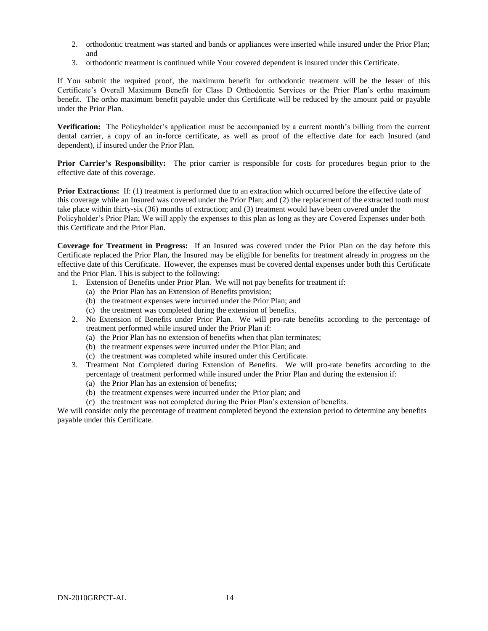- 2. orthodontic treatment was started and bands or appliances were inserted while insured under the Prior Plan; and
- 3. orthodontic treatment is continued while Your covered dependent is insured under this Certificate.

If You submit the required proof, the maximum benefit for orthodontic treatment will be the lesser of this Certificate's Overall Maximum Benefit for Class D Orthodontic Services or the Prior Plan's ortho maximum benefit. The ortho maximum benefit payable under this Certificate will be reduced by the amount paid or payable under the Prior Plan.

**Verification:** The Policyholder's application must be accompanied by a current month's billing from the current dental carrier, a copy of an in-force certificate, as well as proof of the effective date for each Insured (and dependent), if insured under the Prior Plan.

**Prior Carrier's Responsibility:** The prior carrier is responsible for costs for procedures begun prior to the effective date of this coverage.

**Prior Extractions:** If: (1) treatment is performed due to an extraction which occurred before the effective date of this coverage while an Insured was covered under the Prior Plan; and (2) the replacement of the extracted tooth must take place within thirty-six (36) months of extraction; and (3) treatment would have been covered under the Policyholder's Prior Plan; We will apply the expenses to this plan as long as they are Covered Expenses under both this Certificate and the Prior Plan.

**Coverage for Treatment in Progress:** If an Insured was covered under the Prior Plan on the day before this Certificate replaced the Prior Plan, the Insured may be eligible for benefits for treatment already in progress on the effective date of this Certificate. However, the expenses must be covered dental expenses under both this Certificate and the Prior Plan. This is subject to the following:

- 1. Extension of Benefits under Prior Plan. We will not pay benefits for treatment if:
	- (a) the Prior Plan has an Extension of Benefits provision;
	- (b) the treatment expenses were incurred under the Prior Plan; and
	- (c) the treatment was completed during the extension of benefits.
- 2. No Extension of Benefits under Prior Plan. We will pro-rate benefits according to the percentage of treatment performed while insured under the Prior Plan if:
	- (a) the Prior Plan has no extension of benefits when that plan terminates;
	- (b) the treatment expenses were incurred under the Prior Plan; and
	- (c) the treatment was completed while insured under this Certificate.
- 3. Treatment Not Completed during Extension of Benefits. We will pro-rate benefits according to the percentage of treatment performed while insured under the Prior Plan and during the extension if:
	- (a) the Prior Plan has an extension of benefits;
	- (b) the treatment expenses were incurred under the Prior plan; and
	- (c) the treatment was not completed during the Prior Plan's extension of benefits.

We will consider only the percentage of treatment completed beyond the extension period to determine any benefits payable under this Certificate.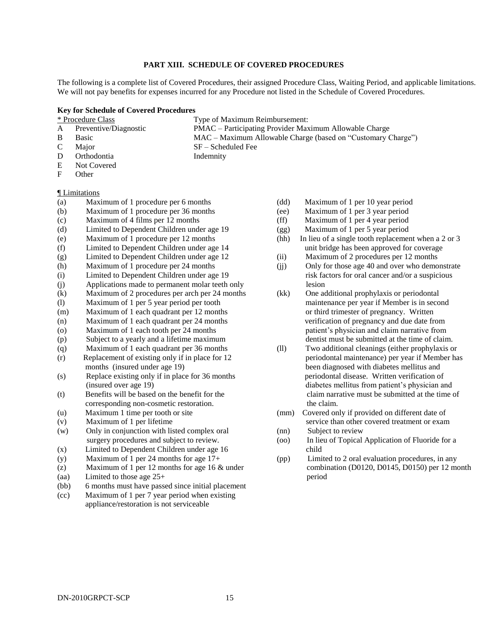#### **PART XIII. SCHEDULE OF COVERED PROCEDURES**

The following is a complete list of Covered Procedures, their assigned Procedure Class, Waiting Period, and applicable limitations. We will not pay benefits for expenses incurred for any Procedure not listed in the Schedule of Covered Procedures.

#### **Key for Schedule of Covered Procedures**

|  | * Procedure Class |  |
|--|-------------------|--|
|--|-------------------|--|

Type of Maximum Reimbursement:

A Preventive/Diagnostic PMAC – Participating Provider Maximum Allowable Charge

- B Basic MAC Maximum Allowable Charge (based on "Customary Charge")
- 

C Major SF – Scheduled Fee

- D Orthodontia Indemnity
- E Not Covered
- F Other

#### ¶ Limitations

- (a) Maximum of 1 procedure per 6 months
- (b) Maximum of 1 procedure per 36 months
- (c) Maximum of 4 films per 12 months
- (d) Limited to Dependent Children under age 19
- (e) Maximum of 1 procedure per 12 months
- (f) Limited to Dependent Children under age 14
- (g) Limited to Dependent Children under age 12
- (h) Maximum of 1 procedure per 24 months
- (i) Limited to Dependent Children under age 19
- (j) Applications made to permanent molar teeth only
- (k) Maximum of 2 procedures per arch per 24 months
- (l) Maximum of 1 per 5 year period per tooth
- (m) Maximum of 1 each quadrant per 12 months
- (n) Maximum of 1 each quadrant per 24 months
- (o) Maximum of 1 each tooth per 24 months
- (p) Subject to a yearly and a lifetime maximum
- (q) Maximum of 1 each quadrant per 36 months
- (r) Replacement of existing only if in place for 12 months (insured under age 19)
- (s) Replace existing only if in place for 36 months (insured over age 19)
- (t) Benefits will be based on the benefit for the corresponding non-cosmetic restoration.
- (u) Maximum 1 time per tooth or site
- (v) Maximum of 1 per lifetime
- (w) Only in conjunction with listed complex oral surgery procedures and subject to review.
- (x) Limited to Dependent Children under age 16
- (y) Maximum of 1 per 24 months for age 17+
- (z) Maximum of 1 per 12 months for age 16 & under
- (aa) Limited to those age 25+
- (bb) 6 months must have passed since initial placement
- (cc) Maximum of 1 per 7 year period when existing appliance/restoration is not serviceable
- (dd) Maximum of 1 per 10 year period
- (ee) Maximum of 1 per 3 year period
- (ff) Maximum of 1 per 4 year period
- (gg) Maximum of 1 per 5 year period
- (hh) In lieu of a single tooth replacement when a 2 or 3 unit bridge has been approved for coverage
- (ii) Maximum of 2 procedures per 12 months
- (jj) Only for those age 40 and over who demonstrate risk factors for oral cancer and/or a suspicious lesion
- (kk) One additional prophylaxis or periodontal maintenance per year if Member is in second or third trimester of pregnancy. Written verification of pregnancy and due date from patient's physician and claim narrative from dentist must be submitted at the time of claim.
- (ll) Two additional cleanings (either prophylaxis or periodontal maintenance) per year if Member has been diagnosed with diabetes mellitus and periodontal disease. Written verification of diabetes mellitus from patient's physician and claim narrative must be submitted at the time of the claim.
- (mm) Covered only if provided on different date of service than other covered treatment or exam (nn) Subject to review
- (oo) In lieu of Topical Application of Fluoride for a child
- (pp) Limited to 2 oral evaluation procedures, in any combination (D0120, D0145, D0150) per 12 month period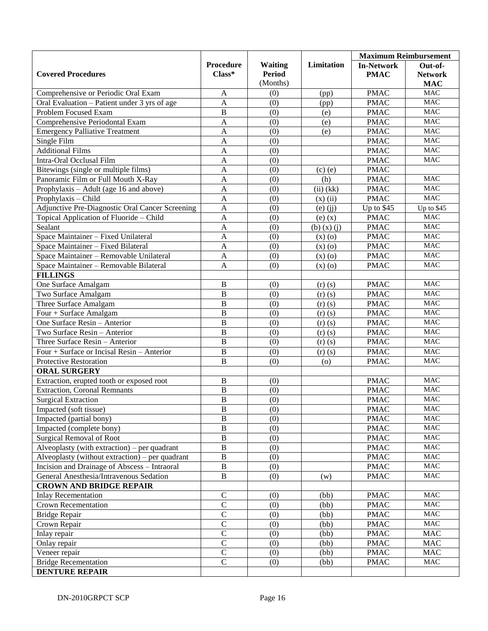|                                                 |                         |                  |                   | <b>Maximum Reimbursement</b> |                  |
|-------------------------------------------------|-------------------------|------------------|-------------------|------------------------------|------------------|
|                                                 | <b>Procedure</b>        | <b>Waiting</b>   | Limitation        | <b>In-Network</b>            | Out-of-          |
| <b>Covered Procedures</b>                       | $Class*$                | <b>Period</b>    |                   | <b>PMAC</b>                  | <b>Network</b>   |
|                                                 |                         | (Months)         |                   |                              | <b>MAC</b>       |
| Comprehensive or Periodic Oral Exam             | A                       | (0)              | (pp)              | <b>PMAC</b>                  | <b>MAC</b>       |
| Oral Evaluation – Patient under 3 yrs of age    | $\mathbf{A}$            | (0)              | (pp)              | <b>PMAC</b>                  | <b>MAC</b>       |
| Problem Focused Exam                            | $\bf{B}$                | (0)              | (e)               | <b>PMAC</b>                  | <b>MAC</b>       |
| Comprehensive Periodontal Exam                  | $\mathbf{A}$            | (0)              | (e)               | <b>PMAC</b>                  | <b>MAC</b>       |
| <b>Emergency Palliative Treatment</b>           | $\mathbf{A}$            | (0)              | (e)               | <b>PMAC</b>                  | <b>MAC</b>       |
| Single Film                                     | A                       | (0)              |                   | <b>PMAC</b>                  | <b>MAC</b>       |
| <b>Additional Films</b>                         | $\mathbf{A}$            | (0)              |                   | <b>PMAC</b>                  | <b>MAC</b>       |
| Intra-Oral Occlusal Film                        | $\mathbf{A}$            | (0)              |                   | <b>PMAC</b>                  | MAC              |
| Bitewings (single or multiple films)            | $\mathbf{A}$            | (0)              | $(c)$ $(e)$       | <b>PMAC</b>                  |                  |
| Panoramic Film or Full Mouth X-Ray              | $\mathbf{A}$            | (0)              | (h)               | <b>PMAC</b>                  | <b>MAC</b>       |
| Prophylaxis – Adult (age 16 and above)          | $\mathbf{A}$            | (0)              | $(ii)$ (kk)       | <b>PMAC</b>                  | <b>MAC</b>       |
| Prophylaxis - Child                             | $\mathbf{A}$            | (0)              | $(x)$ (ii)        | <b>PMAC</b>                  | $MA\overline{C}$ |
| Adjunctive Pre-Diagnostic Oral Cancer Screening | $\mathbf{A}$            | (0)              | $(e)$ $(ij)$      | Up to \$45                   | Up to \$45       |
| Topical Application of Fluoride - Child         | $\mathbf{A}$            | (0)              | $(e)$ $(x)$       | <b>PMAC</b>                  | MAC              |
| Sealant                                         | $\mathbf{A}$            | (0)              | $(b)$ $(x)$ $(j)$ | <b>PMAC</b>                  | <b>MAC</b>       |
| Space Maintainer - Fixed Unilateral             | A                       | (0)              | (x)(o)            | <b>PMAC</b>                  | <b>MAC</b>       |
| Space Maintainer - Fixed Bilateral              | A                       | (0)              | (x)(o)            | <b>PMAC</b>                  | <b>MAC</b>       |
| Space Maintainer - Removable Unilateral         | $\mathbf{A}$            | (0)              | $(x)$ $(0)$       | <b>PMAC</b>                  | <b>MAC</b>       |
| Space Maintainer - Removable Bilateral          | A                       | (0)              | (x)(o)            | <b>PMAC</b>                  | $\rm MAC$        |
| <b>FILLINGS</b>                                 |                         |                  |                   |                              |                  |
| One Surface Amalgam                             | B                       | (0)              | $(r)$ $(s)$       | <b>PMAC</b>                  | <b>MAC</b>       |
| Two Surface Amalgam                             | $\overline{B}$          | (0)              | (r)(s)            | <b>PMAC</b>                  | <b>MAC</b>       |
|                                                 | $\bf{B}$                |                  |                   |                              | <b>MAC</b>       |
| Three Surface Amalgam                           | $\overline{B}$          | (0)              | (r)(s)            | <b>PMAC</b>                  | <b>MAC</b>       |
| Four + Surface Amalgam                          | $\overline{B}$          | (0)              | $(r)$ $(s)$       | <b>PMAC</b>                  |                  |
| One Surface Resin - Anterior                    |                         | (0)              | $(r)$ $(s)$       | <b>PMAC</b>                  | <b>MAC</b>       |
| Two Surface Resin - Anterior                    | $\bf{B}$                | (0)              | (r)(s)            | <b>PMAC</b>                  | <b>MAC</b>       |
| Three Surface Resin - Anterior                  | $\, {\bf B}$            | (0)              | (r)(s)            | <b>PMAC</b>                  | <b>MAC</b>       |
| Four + Surface or Incisal Resin - Anterior      | $\overline{B}$          | (0)              | (r)(s)            | <b>PMAC</b>                  | $\rm MAC$        |
| <b>Protective Restoration</b>                   | $\overline{B}$          | (0)              | (0)               | <b>PMAC</b>                  | <b>MAC</b>       |
| <b>ORAL SURGERY</b>                             |                         |                  |                   |                              |                  |
| Extraction, erupted tooth or exposed root       | B                       | (0)              |                   | <b>PMAC</b>                  | <b>MAC</b>       |
| <b>Extraction, Coronal Remnants</b>             | $\overline{B}$          | (0)              |                   | <b>PMAC</b>                  | $\rm MAC$        |
| <b>Surgical Extraction</b>                      | $\, {\bf B}$            | (0)              |                   | <b>PMAC</b>                  | $\rm MAC$        |
| Impacted (soft tissue)                          | $\overline{\mathbf{B}}$ | $\overline{(0)}$ |                   | <b>PMAC</b>                  | <b>MAC</b>       |
| Impacted (partial bony)                         | B                       | (0)              |                   | <b>PMAC</b>                  | <b>MAC</b>       |
| Impacted (complete bony)                        | $\, {\bf B}$            | (0)              |                   | <b>PMAC</b>                  | $\rm MAC$        |
| <b>Surgical Removal of Root</b>                 | $\overline{B}$          | (0)              |                   | <b>PMAC</b>                  | $\rm MAC$        |
| Alveoplasty (with extraction) – per quadrant    | $\overline{B}$          | (0)              |                   | <b>PMAC</b>                  | $\rm MAC$        |
| Alveoplasty (without extraction) – per quadrant | $\, {\bf B}$            | (0)              |                   | <b>PMAC</b>                  | <b>MAC</b>       |
| Incision and Drainage of Abscess - Intraoral    | $\, {\bf B}$            | (0)              |                   | <b>PMAC</b>                  | $\rm MAC$        |
| General Anesthesia/Intravenous Sedation         | $\, {\bf B}$            | (0)              | (w)               | <b>PMAC</b>                  | $\rm MAC$        |
| <b>CROWN AND BRIDGE REPAIR</b>                  |                         |                  |                   |                              |                  |
| <b>Inlay Recementation</b>                      | $\mathbf C$             | (0)              | (bb)              | <b>PMAC</b>                  | <b>MAC</b>       |
| <b>Crown Recementation</b>                      | $\overline{C}$          | (0)              | (bb)              | <b>PMAC</b>                  | $\rm MAC$        |
| <b>Bridge Repair</b>                            | $\overline{C}$          | (0)              | (bb)              | <b>PMAC</b>                  | $\rm MAC$        |
| Crown Repair                                    | $\overline{C}$          | (0)              | (bb)              | <b>PMAC</b>                  | $\rm MAC$        |
| Inlay repair                                    | $\overline{C}$          | (0)              | (bb)              | <b>PMAC</b>                  | <b>MAC</b>       |
| Onlay repair                                    | $\overline{C}$          | (0)              | (bb)              | <b>PMAC</b>                  | <b>MAC</b>       |
| Veneer repair                                   | $\overline{C}$          | (0)              | (bb)              | <b>PMAC</b>                  | <b>MAC</b>       |
| <b>Bridge Recementation</b>                     | $\overline{C}$          | (0)              | (bb)              | <b>PMAC</b>                  | $\rm MAC$        |
| <b>DENTURE REPAIR</b>                           |                         |                  |                   |                              |                  |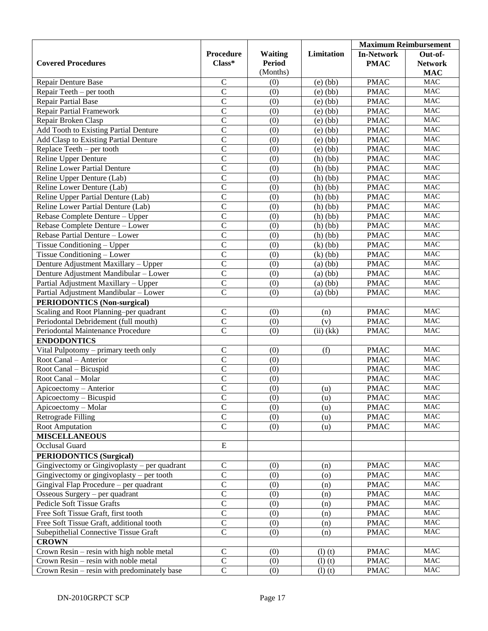|                                              |                  |                  |              | <b>Maximum Reimbursement</b> |                |
|----------------------------------------------|------------------|------------------|--------------|------------------------------|----------------|
|                                              | <b>Procedure</b> | <b>Waiting</b>   | Limitation   | <b>In-Network</b>            | Out-of-        |
| <b>Covered Procedures</b>                    | Class*           | <b>Period</b>    |              | <b>PMAC</b>                  | <b>Network</b> |
|                                              |                  | (Months)         |              |                              | <b>MAC</b>     |
| Repair Denture Base                          | $\mathbf C$      | (0)              | $(e)$ $(bb)$ | <b>PMAC</b>                  | $\rm MAC$      |
| Repair Teeth - per tooth                     | $\overline{C}$   | (0)              | $(e)$ (bb)   | <b>PMAC</b>                  | $\rm MAC$      |
| <b>Repair Partial Base</b>                   | $\overline{C}$   | (0)              | $(e)$ $(bb)$ | <b>PMAC</b>                  | $\rm MAC$      |
| <b>Repair Partial Framework</b>              | $\overline{C}$   | (0)              | $(e)$ $(bb)$ | <b>PMAC</b>                  | $\rm MAC$      |
| Repair Broken Clasp                          | $\overline{C}$   | (0)              | $(e)$ (bb)   | <b>PMAC</b>                  | MAC            |
| Add Tooth to Existing Partial Denture        | $\overline{C}$   | (0)              | $(e)$ (bb)   | <b>PMAC</b>                  | <b>MAC</b>     |
| Add Clasp to Existing Partial Denture        | $\overline{C}$   | (0)              | $(e)$ $(bb)$ | <b>PMAC</b>                  | $\rm MAC$      |
| Replace Teeth – per tooth                    | $\overline{C}$   | (0)              | $(e)$ (bb)   | <b>PMAC</b>                  | $\rm MAC$      |
| Reline Upper Denture                         | $\overline{C}$   | (0)              | (h)(bb)      | <b>PMAC</b>                  | <b>MAC</b>     |
| <b>Reline Lower Partial Denture</b>          | $\overline{C}$   | (0)              | (h)(bb)      | <b>PMAC</b>                  | $\rm MAC$      |
| Reline Upper Denture (Lab)                   | $\overline{C}$   | (0)              | (h)(bb)      | <b>PMAC</b>                  | $\rm MAC$      |
| Reline Lower Denture (Lab)                   | $\overline{C}$   | (0)              | (h)(bb)      | <b>PMAC</b>                  | MAC            |
| Reline Upper Partial Denture (Lab)           | $\overline{C}$   | (0)              | (h)(bb)      | <b>PMAC</b>                  | <b>MAC</b>     |
| Reline Lower Partial Denture (Lab)           | $\overline{C}$   | (0)              | (h)(bb)      | <b>PMAC</b>                  | $\rm MAC$      |
| Rebase Complete Denture - Upper              | $\overline{C}$   | (0)              | (h)(bb)      | <b>PMAC</b>                  | $\rm MAC$      |
| Rebase Complete Denture - Lower              | $\overline{C}$   | (0)              | (h)(bb)      | <b>PMAC</b>                  | MAC            |
| Rebase Partial Denture - Lower               | $\overline{C}$   | (0)              | (h)(bb)      | <b>PMAC</b>                  | $\rm MAC$      |
| Tissue Conditioning – Upper                  | $\overline{C}$   | (0)              | $(k)$ $(bb)$ | <b>PMAC</b>                  | $\rm MAC$      |
| Tissue Conditioning - Lower                  | $\overline{C}$   | (0)              | $(k)$ $(bb)$ | <b>PMAC</b>                  | $\rm MAC$      |
| Denture Adjustment Maxillary - Upper         | $\overline{C}$   | (0)              | $(a)$ (bb)   | <b>PMAC</b>                  | <b>MAC</b>     |
| Denture Adjustment Mandibular - Lower        | $\overline{C}$   | (0)              | $(a)$ $(bb)$ | <b>PMAC</b>                  | $\rm MAC$      |
| Partial Adjustment Maxillary - Upper         | $\overline{C}$   | (0)              | $(a)$ $(bb)$ | <b>PMAC</b>                  | $\rm MAC$      |
| Partial Adjustment Mandibular - Lower        | $\overline{C}$   | (0)              | $(a)$ $(bb)$ | <b>PMAC</b>                  | MAC            |
| <b>PERIODONTICS (Non-surgical)</b>           |                  |                  |              |                              |                |
| Scaling and Root Planning-per quadrant       | $\mathbf C$      | (0)              | (n)          | <b>PMAC</b>                  | <b>MAC</b>     |
| Periodontal Debridement (full mouth)         | $\overline{C}$   | (0)              | (v)          | <b>PMAC</b>                  | $\rm MAC$      |
| Periodontal Maintenance Procedure            | $\overline{C}$   | (0)              | $(ii)$ (kk)  | <b>PMAC</b>                  | MAC            |
| <b>ENDODONTICS</b>                           |                  |                  |              |                              |                |
| Vital Pulpotomy - primary teeth only         | $\mathbf C$      | (0)              | (f)          | <b>PMAC</b>                  | <b>MAC</b>     |
| Root Canal - Anterior                        | $\overline{C}$   | (0)              |              | <b>PMAC</b>                  | $\rm MAC$      |
| Root Canal - Bicuspid                        | $\overline{C}$   | (0)              |              | <b>PMAC</b>                  | $\rm MAC$      |
| Root Canal - Molar                           | $\overline{C}$   | (0)              |              | <b>PMAC</b>                  | <b>MAC</b>     |
| Apicoectomy - Anterior                       | $\overline{C}$   | (0)              | (u)          | <b>PMAC</b>                  | <b>MAC</b>     |
| Apicoectomy - Bicuspid                       | $\overline{C}$   | $\overline{(0)}$ | (u)          | <b>PMAC</b>                  | <b>MAC</b>     |
| Apicoectomy - Molar                          | $\overline{C}$   | (0)              | (u)          | <b>PMAC</b>                  | <b>MAC</b>     |
| Retrograde Filling                           | $\overline{C}$   | (0)              | (u)          | <b>PMAC</b>                  | <b>MAC</b>     |
| Root Amputation                              | $\overline{C}$   | (0)              | (u)          | <b>PMAC</b>                  | $\rm MAC$      |
| <b>MISCELLANEOUS</b>                         |                  |                  |              |                              |                |
| Occlusal Guard                               | ${\bf E}$        |                  |              |                              |                |
| <b>PERIODONTICS (Surgical)</b>               |                  |                  |              |                              |                |
| Gingivectomy or Gingivoplasty - per quadrant | $\mathsf C$      | (0)              | (n)          | <b>PMAC</b>                  | <b>MAC</b>     |
| Gingivectomy or gingivoplasty $-$ per tooth  | $\overline{C}$   | (0)              | (o)          | <b>PMAC</b>                  | $\rm MAC$      |
| Gingival Flap Procedure – per quadrant       | $\overline{C}$   | (0)              | (n)          | <b>PMAC</b>                  | $\rm MAC$      |
| Osseous Surgery - per quadrant               | $\overline{C}$   | (0)              | (n)          | <b>PMAC</b>                  | $\rm MAC$      |
| <b>Pedicle Soft Tissue Grafts</b>            | $\overline{C}$   | (0)              | (n)          | <b>PMAC</b>                  | $\rm MAC$      |
| Free Soft Tissue Graft, first tooth          | $\overline{C}$   | (0)              | (n)          | <b>PMAC</b>                  | $\rm MAC$      |
| Free Soft Tissue Graft, additional tooth     | $\mathsf C$      | (0)              | (n)          | <b>PMAC</b>                  | $\rm MAC$      |
| Subepithelial Connective Tissue Graft        | $\overline{C}$   | (0)              | (n)          | <b>PMAC</b>                  | $\rm MAC$      |
| <b>CROWN</b>                                 |                  |                  |              |                              |                |
| Crown Resin – resin with high noble metal    | $\mathsf C$      | (0)              | (l)(t)       | <b>PMAC</b>                  | $\rm MAC$      |
| Crown Resin – resin with noble metal         | $\mathsf C$      | (0)              | (l)(t)       | <b>PMAC</b>                  | $\rm MAC$      |
| Crown Resin – resin with predominately base  | $\overline{C}$   | (0)              | (l)(t)       | <b>PMAC</b>                  | $\rm MAC$      |
|                                              |                  |                  |              |                              |                |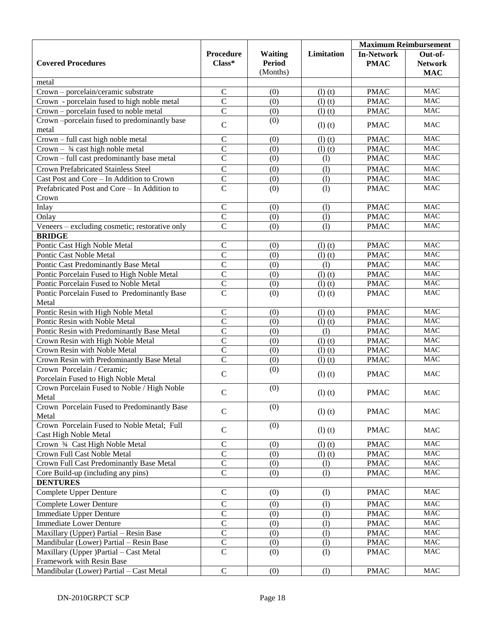|                                                                   |                                |                |            | <b>Maximum Reimbursement</b> |                |
|-------------------------------------------------------------------|--------------------------------|----------------|------------|------------------------------|----------------|
|                                                                   | <b>Procedure</b>               | <b>Waiting</b> | Limitation | <b>In-Network</b>            | Out-of-        |
| <b>Covered Procedures</b>                                         | Class*                         | <b>Period</b>  |            | <b>PMAC</b>                  | <b>Network</b> |
|                                                                   |                                | (Months)       |            |                              | <b>MAC</b>     |
| metal                                                             |                                |                |            |                              |                |
| Crown - porcelain/ceramic substrate                               | $\mathbf C$                    | (0)            | (l)(t)     | <b>PMAC</b>                  | <b>MAC</b>     |
| Crown - porcelain fused to high noble metal                       | $\overline{C}$                 | (0)            | (l)(t)     | <b>PMAC</b>                  | <b>MAC</b>     |
| Crown - porcelain fused to noble metal                            | $\overline{C}$                 | (0)            | (l)(t)     | <b>PMAC</b>                  | <b>MAC</b>     |
| Crown-porcelain fused to predominantly base                       | $\mathbf C$                    | (0)            | (l)(t)     | <b>PMAC</b>                  | <b>MAC</b>     |
| metal                                                             |                                |                |            |                              |                |
| Crown - full cast high noble metal                                | $\mathcal{C}$                  | (0)            | (l)(t)     | <b>PMAC</b>                  | <b>MAC</b>     |
| Crown $-$ 3/4 cast high noble metal                               | $\overline{C}$                 | (0)            | (l)(t)     | <b>PMAC</b>                  | <b>MAC</b>     |
| Crown - full cast predominantly base metal                        | $\overline{C}$                 | (0)            | (1)        | <b>PMAC</b>                  | <b>MAC</b>     |
| <b>Crown Prefabricated Stainless Steel</b>                        | $\mathsf{C}$                   | (0)            | (1)        | <b>PMAC</b>                  | <b>MAC</b>     |
| Cast Post and Core - In Addition to Crown                         | $\overline{C}$                 | (0)            | (1)        | <b>PMAC</b>                  | <b>MAC</b>     |
| Prefabricated Post and Core - In Addition to                      | $\overline{\rm c}$             | (0)            | (1)        | <b>PMAC</b>                  | MAC            |
| Crown                                                             |                                |                |            |                              |                |
| Inlay                                                             | $\mathsf C$                    | (0)            | (1)        | <b>PMAC</b>                  | <b>MAC</b>     |
| Onlay                                                             | $\overline{C}$                 | (0)            | (1)        | <b>PMAC</b>                  | <b>MAC</b>     |
| Veneers – excluding cosmetic; restorative only                    | $\overline{\rm c}$             | (0)            | (1)        | <b>PMAC</b>                  | MAC            |
| <b>BRIDGE</b>                                                     |                                |                |            |                              |                |
| Pontic Cast High Noble Metal                                      | $\mathsf C$                    | (0)            | (l)(t)     | <b>PMAC</b>                  | <b>MAC</b>     |
| Pontic Cast Noble Metal                                           | $\overline{C}$                 | (0)            | (l)(t)     | <b>PMAC</b>                  | <b>MAC</b>     |
| Pontic Cast Predominantly Base Metal                              | $\overline{C}$                 | (0)            | (1)        | <b>PMAC</b>                  | <b>MAC</b>     |
| Pontic Porcelain Fused to High Noble Metal                        | $\overline{C}$                 | (0)            | (l)(t)     | <b>PMAC</b>                  | <b>MAC</b>     |
| Pontic Porcelain Fused to Noble Metal                             | $\overline{C}$                 | (0)            | (l)(t)     | <b>PMAC</b>                  | <b>MAC</b>     |
| Pontic Porcelain Fused to Predominantly Base                      | $\overline{C}$                 | (0)            | (l)(t)     | <b>PMAC</b>                  | <b>MAC</b>     |
| Metal                                                             |                                |                |            |                              |                |
| Pontic Resin with High Noble Metal                                | $\mathsf{C}$<br>$\overline{C}$ | (0)            | (l)(t)     | <b>PMAC</b>                  | MAC<br>MAC     |
| Pontic Resin with Noble Metal                                     | $\overline{C}$                 | (0)            | (l)(t)     | <b>PMAC</b>                  | MAC            |
| Pontic Resin with Predominantly Base Metal                        | $\overline{C}$                 | (0)            | (1)        | <b>PMAC</b>                  | MAC            |
| Crown Resin with High Noble Metal<br>Crown Resin with Noble Metal | $\overline{C}$                 | (0)            | (l)(t)     | <b>PMAC</b>                  | $\rm MAC$      |
| Crown Resin with Predominantly Base Metal                         | $\overline{C}$                 | (0)<br>(0)     | (l)(t)     | <b>PMAC</b><br><b>PMAC</b>   | MAC            |
| Crown Porcelain / Ceramic;                                        |                                | (0)            | (l)(t)     |                              |                |
| Porcelain Fused to High Noble Metal                               | $\mathbf C$                    |                | (l)(t)     | <b>PMAC</b>                  | <b>MAC</b>     |
| Crown Porcelain Fused to Noble / High Noble                       |                                | (0)            |            |                              |                |
| Metal                                                             | $\mathbf C$                    |                | (l)(t)     | <b>PMAC</b>                  | <b>MAC</b>     |
| Crown Porcelain Fused to Predominantly Base                       |                                | (0)            |            |                              |                |
| Metal                                                             | $\mathbf C$                    |                | (l)(t)     | <b>PMAC</b>                  | $\rm MAC$      |
| Crown Porcelain Fused to Noble Metal; Full                        |                                | (0)            |            |                              |                |
| Cast High Noble Metal                                             | $\mathbf C$                    |                | (l)(t)     | <b>PMAC</b>                  | <b>MAC</b>     |
| Crown 3/4 Cast High Noble Metal                                   | $\mathbf C$                    | (0)            | (l)(t)     | <b>PMAC</b>                  | <b>MAC</b>     |
| Crown Full Cast Noble Metal                                       | $\mathcal{C}$                  | (0)            | (l)(t)     | <b>PMAC</b>                  | $\rm MAC$      |
| Crown Full Cast Predominantly Base Metal                          | $\mathbf C$                    | (0)            | (1)        | <b>PMAC</b>                  | MAC            |
| Core Build-up (including any pins)                                | $\mathbf C$                    | (0)            | (1)        | <b>PMAC</b>                  | MAC            |
| <b>DENTURES</b>                                                   |                                |                |            |                              |                |
| Complete Upper Denture                                            | $\mathbf C$                    | (0)            | (1)        | <b>PMAC</b>                  | $\rm MAC$      |
| <b>Complete Lower Denture</b>                                     | $\mathsf C$                    | (0)            | (1)        | <b>PMAC</b>                  | MAC            |
| <b>Immediate Upper Denture</b>                                    | $\overline{C}$                 | (0)            | (1)        | <b>PMAC</b>                  | MAC            |
| <b>Immediate Lower Denture</b>                                    | $\overline{C}$                 | (0)            | (1)        | <b>PMAC</b>                  | MAC            |
| Maxillary (Upper) Partial - Resin Base                            | $\overline{C}$                 | (0)            | (1)        | <b>PMAC</b>                  | MAC            |
| Mandibular (Lower) Partial - Resin Base                           | $\overline{C}$                 | (0)            | (1)        | <b>PMAC</b>                  | MAC            |
| Maxillary (Upper )Partial – Cast Metal                            | $\overline{C}$                 | (0)            | (1)        | <b>PMAC</b>                  | MAC            |
| Framework with Resin Base                                         |                                |                |            |                              |                |
| Mandibular (Lower) Partial - Cast Metal                           | $\mathbf C$                    | (0)            | (1)        | <b>PMAC</b>                  | <b>MAC</b>     |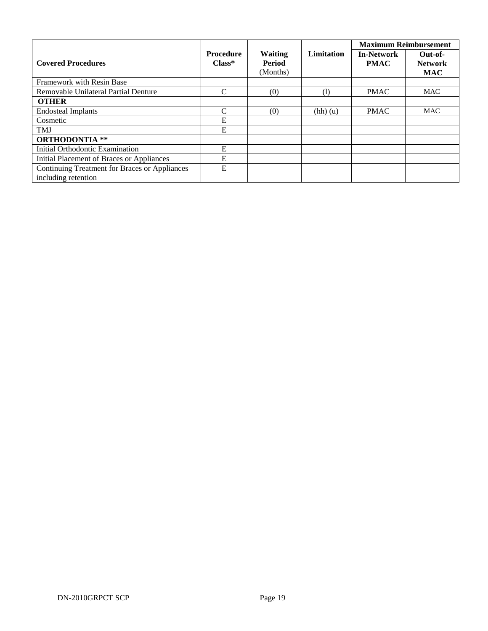|                                                                      |                              |                                             |                   | <b>Maximum Reimbursement</b>     |                                         |
|----------------------------------------------------------------------|------------------------------|---------------------------------------------|-------------------|----------------------------------|-----------------------------------------|
| <b>Covered Procedures</b>                                            | <b>Procedure</b><br>$Class*$ | <b>Waiting</b><br><b>Period</b><br>(Months) | <b>Limitation</b> | <b>In-Network</b><br><b>PMAC</b> | Out-of-<br><b>Network</b><br><b>MAC</b> |
| Framework with Resin Base                                            |                              |                                             |                   |                                  |                                         |
| Removable Unilateral Partial Denture                                 | C                            | (0)                                         | (1)               | <b>PMAC</b>                      | <b>MAC</b>                              |
| <b>OTHER</b>                                                         |                              |                                             |                   |                                  |                                         |
| <b>Endosteal Implants</b>                                            | $\mathcal{C}$                | (0)                                         | (hh)(u)           | <b>PMAC</b>                      | <b>MAC</b>                              |
| Cosmetic                                                             | E                            |                                             |                   |                                  |                                         |
| <b>TMJ</b>                                                           | E                            |                                             |                   |                                  |                                         |
| <b>ORTHODONTIA **</b>                                                |                              |                                             |                   |                                  |                                         |
| Initial Orthodontic Examination                                      | E                            |                                             |                   |                                  |                                         |
| Initial Placement of Braces or Appliances                            | E                            |                                             |                   |                                  |                                         |
| Continuing Treatment for Braces or Appliances<br>including retention | E                            |                                             |                   |                                  |                                         |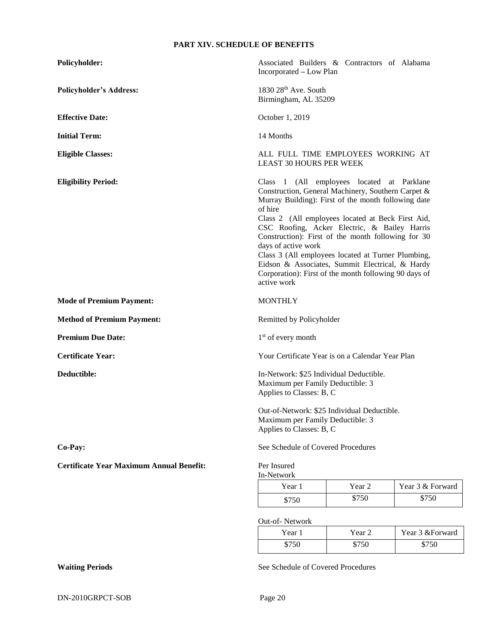# **PART XIV. SCHEDULE OF BENEFITS**

| Policyholder:                                   |                                                                                                             | Associated Builders & Contractors of Alabama<br>Incorporated - Low Plan                                                                                                                                                                                                                                                                                                                                                                                                              |                  |  |  |  |
|-------------------------------------------------|-------------------------------------------------------------------------------------------------------------|--------------------------------------------------------------------------------------------------------------------------------------------------------------------------------------------------------------------------------------------------------------------------------------------------------------------------------------------------------------------------------------------------------------------------------------------------------------------------------------|------------------|--|--|--|
| <b>Policyholder's Address:</b>                  |                                                                                                             | 1830 28th Ave. South<br>Birmingham, AL 35209                                                                                                                                                                                                                                                                                                                                                                                                                                         |                  |  |  |  |
| <b>Effective Date:</b>                          | October 1, 2019                                                                                             |                                                                                                                                                                                                                                                                                                                                                                                                                                                                                      |                  |  |  |  |
| <b>Initial Term:</b>                            | 14 Months                                                                                                   |                                                                                                                                                                                                                                                                                                                                                                                                                                                                                      |                  |  |  |  |
| <b>Eligible Classes:</b>                        | ALL FULL TIME EMPLOYEES WORKING AT<br><b>LEAST 30 HOURS PER WEEK</b>                                        |                                                                                                                                                                                                                                                                                                                                                                                                                                                                                      |                  |  |  |  |
| <b>Eligibility Period:</b>                      | of hire<br>days of active work<br>active work                                                               | Class 1 (All employees located at Parklane<br>Construction, General Machinery, Southern Carpet &<br>Murray Building): First of the month following date<br>Class 2 (All employees located at Beck First Aid,<br>CSC Roofing, Acker Electric, & Bailey Harris<br>Construction): First of the month following for 30<br>Class 3 (All employees located at Turner Plumbing,<br>Eidson & Associates, Summit Electrical, & Hardy<br>Corporation): First of the month following 90 days of |                  |  |  |  |
| <b>Mode of Premium Payment:</b>                 | <b>MONTHLY</b>                                                                                              |                                                                                                                                                                                                                                                                                                                                                                                                                                                                                      |                  |  |  |  |
| <b>Method of Premium Payment:</b>               |                                                                                                             | Remitted by Policyholder                                                                                                                                                                                                                                                                                                                                                                                                                                                             |                  |  |  |  |
| <b>Premium Due Date:</b>                        | $1st$ of every month                                                                                        |                                                                                                                                                                                                                                                                                                                                                                                                                                                                                      |                  |  |  |  |
| <b>Certificate Year:</b>                        |                                                                                                             | Your Certificate Year is on a Calendar Year Plan                                                                                                                                                                                                                                                                                                                                                                                                                                     |                  |  |  |  |
| Deductible:                                     |                                                                                                             | In-Network: \$25 Individual Deductible.<br>Maximum per Family Deductible: 3<br>Applies to Classes: B, C                                                                                                                                                                                                                                                                                                                                                                              |                  |  |  |  |
|                                                 | Out-of-Network: \$25 Individual Deductible.<br>Maximum per Family Deductible: 3<br>Applies to Classes: B, C |                                                                                                                                                                                                                                                                                                                                                                                                                                                                                      |                  |  |  |  |
| Co-Pay:                                         | See Schedule of Covered Procedures                                                                          |                                                                                                                                                                                                                                                                                                                                                                                                                                                                                      |                  |  |  |  |
| <b>Certificate Year Maximum Annual Benefit:</b> | Per Insured<br>In-Network                                                                                   |                                                                                                                                                                                                                                                                                                                                                                                                                                                                                      |                  |  |  |  |
|                                                 | Year 1                                                                                                      | Year 2                                                                                                                                                                                                                                                                                                                                                                                                                                                                               | Year 3 & Forward |  |  |  |
|                                                 | \$750                                                                                                       | \$750                                                                                                                                                                                                                                                                                                                                                                                                                                                                                | \$750            |  |  |  |

Out-of- Network

| Year  | Year 2 | Year 3 & Forward |
|-------|--------|------------------|
| \$750 | \$750  | \$750            |

Waiting Periods See Schedule of Covered Procedures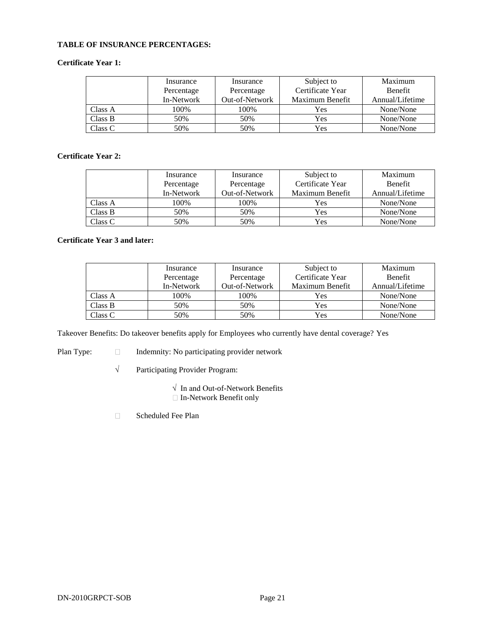#### **TABLE OF INSURANCE PERCENTAGES:**

# **Certificate Year 1:**

|         | Insurance  | Insurance      | Subject to       | Maximum         |
|---------|------------|----------------|------------------|-----------------|
|         | Percentage | Percentage     | Certificate Year | <b>Benefit</b>  |
|         | In-Network | Out-of-Network | Maximum Benefit  | Annual/Lifetime |
| Class A | 100%       | 100%           | Yes              | None/None       |
| Class B | 50%        | 50%            | Yes              | None/None       |
| Class C | 50%        | 50%            | Yes              | None/None       |

### **Certificate Year 2:**

|         | Insurance  | Insurance      | Subject to       | Maximum         |
|---------|------------|----------------|------------------|-----------------|
|         | Percentage | Percentage     | Certificate Year | <b>Benefit</b>  |
|         | In-Network | Out-of-Network | Maximum Benefit  | Annual/Lifetime |
| Class A | 100%       | 100%           | Yes              | None/None       |
| Class B | 50%        | 50%            | Yes              | None/None       |
| Class C | 50%        | 50%            | Yes              | None/None       |

#### **Certificate Year 3 and later:**

|         | Insurance  | Insurance      | Subject to       | Maximum         |
|---------|------------|----------------|------------------|-----------------|
|         | Percentage | Percentage     | Certificate Year | <b>Benefit</b>  |
|         | In-Network | Out-of-Network | Maximum Benefit  | Annual/Lifetime |
| Class A | 100%       | 100\%          | Yes              | None/None       |
| Class B | 50%        | 50%            | Yes              | None/None       |
| Class C | 50%        | 50%            | Yes              | None/None       |

Takeover Benefits: Do takeover benefits apply for Employees who currently have dental coverage? Yes

Plan Type:  $\square$  Indemnity: No participating provider network

√ Participating Provider Program:

√ In and Out-of-Network Benefits

In-Network Benefit only

Scheduled Fee Plan $\Box$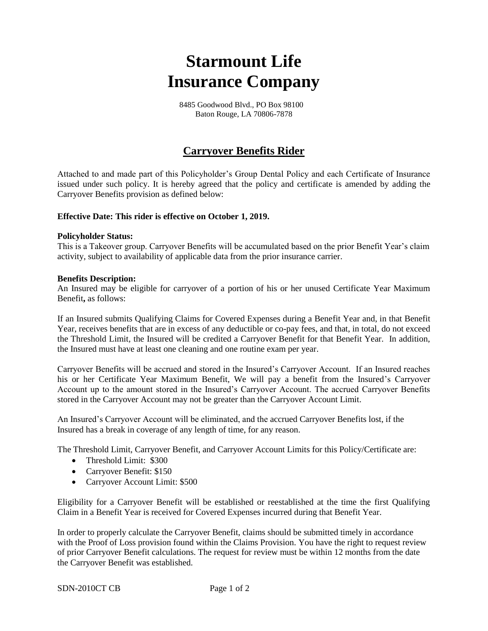# **Starmount Life Insurance Company**

 8485 Goodwood Blvd., PO Box 98100 Baton Rouge, LA 70806-7878

# **Carryover Benefits Rider**

Attached to and made part of this Policyholder's Group Dental Policy and each Certificate of Insurance issued under such policy. It is hereby agreed that the policy and certificate is amended by adding the Carryover Benefits provision as defined below:

# **Effective Date: This rider is effective on October 1, 2019.**

#### **Policyholder Status:**

This is a Takeover group. Carryover Benefits will be accumulated based on the prior Benefit Year's claim activity, subject to availability of applicable data from the prior insurance carrier.

#### **Benefits Description:**

An Insured may be eligible for carryover of a portion of his or her unused Certificate Year Maximum Benefit**,** as follows:

If an Insured submits Qualifying Claims for Covered Expenses during a Benefit Year and, in that Benefit Year, receives benefits that are in excess of any deductible or co-pay fees, and that, in total, do not exceed the Threshold Limit*,* the Insured will be credited a Carryover Benefit for that Benefit Year. In addition, the Insured must have at least one cleaning and one routine exam per year.

Carryover Benefits will be accrued and stored in the Insured's Carryover Account. If an Insured reaches his or her Certificate Year Maximum Benefit, We will pay a benefit from the Insured's Carryover Account up to the amount stored in the Insured's Carryover Account. The accrued Carryover Benefits stored in the Carryover Account may not be greater than the Carryover Account Limit.

An Insured's Carryover Account will be eliminated, and the accrued Carryover Benefits lost, if the Insured has a break in coverage of any length of time, for any reason.

The Threshold Limit, Carryover Benefit, and Carryover Account Limits for this Policy/Certificate are:

- Threshold Limit: \$300
- Carryover Benefit: \$150
- Carryover Account Limit: \$500

Eligibility for a Carryover Benefit will be established or reestablished at the time the first Qualifying Claim in a Benefit Year is received for Covered Expenses incurred during that Benefit Year.

In order to properly calculate the Carryover Benefit, claims should be submitted timely in accordance with the Proof of Loss provision found within the Claims Provision. You have the right to request review of prior Carryover Benefit calculations. The request for review must be within 12 months from the date the Carryover Benefit was established.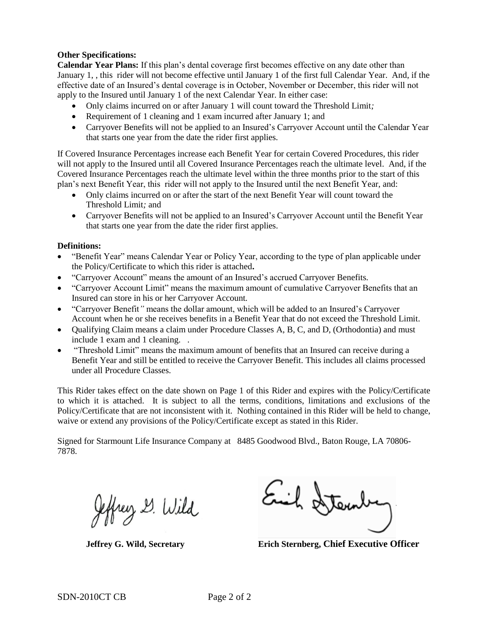# **Other Specifications:**

**Calendar Year Plans:** If this plan's dental coverage first becomes effective on any date other than January 1, , this rider will not become effective until January 1 of the first full Calendar Year. And, if the effective date of an Insured's dental coverage is in October, November or December, this rider will not apply to the Insured until January 1 of the next Calendar Year. In either case:

- Only claims incurred on or after January 1 will count toward the Threshold Limit*;*
- Requirement of 1 cleaning and 1 exam incurred after January 1; and
- Carryover Benefits will not be applied to an Insured's Carryover Account until the Calendar Year that starts one year from the date the rider first applies.

If Covered Insurance Percentages increase each Benefit Year for certain Covered Procedures, this rider will not apply to the Insured until all Covered Insurance Percentages reach the ultimate level. And, if the Covered Insurance Percentages reach the ultimate level within the three months prior to the start of this plan's next Benefit Year, this rider will not apply to the Insured until the next Benefit Year, and:

- Only claims incurred on or after the start of the next Benefit Year will count toward the Threshold Limit*;* and
- Carryover Benefits will not be applied to an Insured's Carryover Account until the Benefit Year that starts one year from the date the rider first applies.

#### **Definitions:**

- "Benefit Year" means Calendar Year or Policy Year, according to the type of plan applicable under the Policy/Certificate to which this rider is attached**.**
- "Carryover Account" means the amount of an Insured's accrued Carryover Benefits*.*
- "Carryover Account Limit" means the maximum amount of cumulative Carryover Benefits that an Insured can store in his or her Carryover Account*.*
- "Carryover Benefit*"* means the dollar amount, which will be added to an Insured's Carryover Account when he or she receives benefits in a Benefit Year that do not exceed the Threshold Limit*.*
- Oualifying Claim means a claim under Procedure Classes A, B, C, and D, (Orthodontia) and must include 1 exam and 1 cleaning. .
- "Threshold Limit" means the maximum amount of benefits that an Insured can receive during a Benefit Year and still be entitled to receive the Carryover Benefit*.* This includes all claims processed under all Procedure Classes.

This Rider takes effect on the date shown on Page 1 of this Rider and expires with the Policy/Certificate to which it is attached. It is subject to all the terms, conditions, limitations and exclusions of the Policy/Certificate that are not inconsistent with it. Nothing contained in this Rider will be held to change, waive or extend any provisions of the Policy/Certificate except as stated in this Rider.

Signed for Starmount Life Insurance Company at 8485 Goodwood Blvd., Baton Rouge, LA 70806- 7878.

effrey G. Wild

Euil Hter

**Jeffrey G. Wild, Secretary Erich Sternberg, Chief Executive Officer**